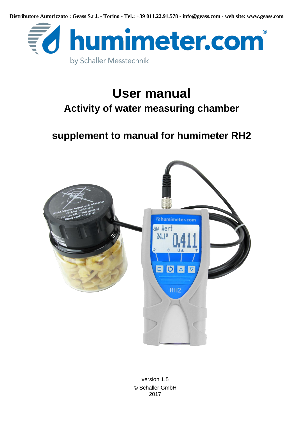**Distributore Autorizzato : Geass S.r.l. - Torino - Tel.: +39 011.22.91.578 - info@geass.com - web site: www.geass.com**



# **User manual Activity of water measuring chamber**

# **supplement to manual for humimeter RH2**



<span id="page-0-0"></span>version 1.5 © Schaller GmbH 2017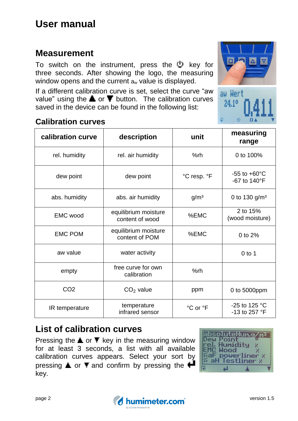### **Measurement**

To switch on the instrument, press the  $\mathbb{U}$  key for three seconds. After showing the logo, the measuring window opens and the current  $a_w$  value is displayed.

If a different calibration curve is set, select the curve "aw value" using the  $\triangle$  or  $\blacktriangledown$  button. The calibration curves saved in the device can be found in the following list:

### **Calibration curves**

**calibration curve description unit measuring range** rel. humidity and the calculation control to the control of the rel. air humidity and the control of the 100% dew point dew point °C resp. °F -55 to +60°C -67 to 140°F abs. humidity  $\vert$  abs. air humidity  $\vert$  g/m<sup>3</sup>  $\vert$  0 to 130 g/m<sup>3</sup> EMC wood equilibrium moisture content of wood %EMC 2 to 15% (wood moisture) EMC POM equilibrium moisture content of POM %EMC 0 to 2% aw value  $\vert$  water activity  $\vert$   $\vert$   $\vert$  0 to 1 empty free curve for own calibration and %rh  $CO<sub>2</sub>$  CO<sub>2</sub> value ppm  $CO<sub>1</sub>$  0 to 5000ppm  $IR$  temperature temperature infrared sensor  $\degree$ C or  $\degree$ F  $\qquad$  -25 to 125  $\degree$ C -13 to 257 °F

### **List of calibration curves**

Pressing the  $\triangle$  or  $\blacktriangledown$  key in the measuring window for at least 3 seconds, a list with all available calibration curves appears. Select your sort by pressing  $\triangle$  or  $\blacktriangledown$  and confirm by pressing the  $\blacktriangledown$ key.





aw Wert  $24.19$ 



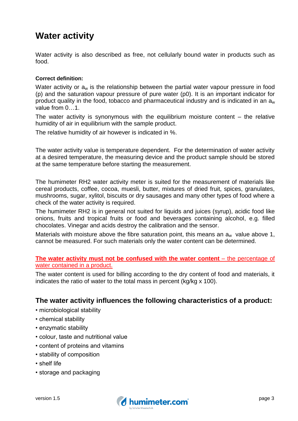### **Water activity**

Water activity is also described as free, not cellularly bound water in products such as food.

#### **Correct definition:**

Water activity or  $a_w$  is the relationship between the [partial](https://en.wikipedia.org/wiki/Partial_pressure) water [vapour pressure](https://en.wikipedia.org/wiki/Vapor_pressure) in food (p) and the saturation vapour pressure of pure water (p0). It is an important indicator for product quality in the food, tobacco and pharmaceutical industry and is indicated in an  $a_w$ value from 0…1.

The water activity is synonymous with the equilibrium moisture content  $-$  the relative humidity of air in equilibrium with the sample product.

The relative humidity of air however is indicated in %.

The water activity value is temperature dependent. For the determination of water activity at a desired temperature, the measuring device and the product sample should be stored at the same temperature before starting the measurement.

The humimeter RH2 water activity meter is suited for the measurement of materials like cereal products, coffee, cocoa, muesli, butter, mixtures of dried fruit, spices, granulates, mushrooms, sugar, xylitol, biscuits or dry sausages and many other types of food where a check of the water activity is required.

The humimeter RH2 is in general not suited for liquids and juices (syrup), acidic food like onions, fruits and tropical fruits or food and beverages containing alcohol, e.g. filled chocolates. Vinegar and acids destroy the calibration and the sensor.

Materials with moisture above the fibre saturation point, this means an  $a_w$  value above 1, cannot be measured. For such materials only the water content can be determined.

#### **The water activity must not be confused with the water content** – the percentage of water contained in a product.

The water content is used for billing according to the dry content of food and materials, it indicates the ratio of water to the total mass in percent (kg/kg x 100).

#### **The water activity influences the following characteristics of a product:**

- microbiological stability
- chemical stability
- enzymatic stability
- colour, taste and nutritional value
- content of proteins and vitamins
- stability of composition
- shelf life
- storage and packaging

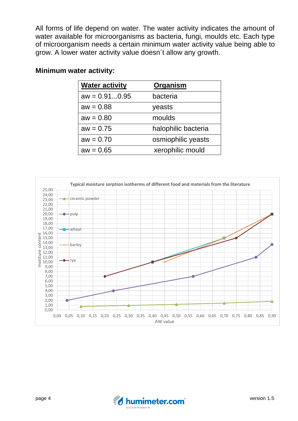All forms of life depend on water. The water activity indicates the amount of water available for microorganisms as bacteria, fungi, moulds etc. Each type of microorganism needs a certain minimum water activity value being able to grow. A lower water activity value doesn´t allow any growth.

#### **Minimum water activity:**

| <b>Water activity</b> | Organism            |
|-----------------------|---------------------|
| $aw = 0.910.95$       | bacteria            |
| $aw = 0.88$           | yeasts              |
| $aw = 0.80$           | moulds              |
| $aw = 0.75$           | halophilic bacteria |
| $aw = 0.70$           | osmiophilic yeasts  |
| $aw = 0.65$           | xerophilic mould    |



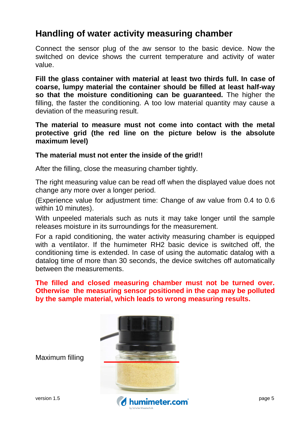### **Handling of water activity measuring chamber**

Connect the sensor plug of the aw sensor to the basic device. Now the switched on device shows the current temperature and activity of water value.

**Fill the glass container with material at least two thirds full. In case of coarse, lumpy material the container should be filled at least half-way so that the moisture conditioning can be guaranteed.** The higher the filling, the faster the conditioning. A too low material quantity may cause a deviation of the measuring result.

#### **The material to measure must not come into contact with the metal protective grid (the red line on the picture below is the absolute maximum level)**

#### **The material must not enter the inside of the grid!!**

After the filling, close the measuring chamber tightly.

The right measuring value can be read off when the displayed value does not change any more over a longer period.

(Experience value for adjustment time: Change of aw value from 0.4 to 0.6 within 10 minutes).

With unpeeled materials such as nuts it may take longer until the sample releases moisture in its surroundings for the measurement.

For a rapid conditioning, the water activity measuring chamber is equipped with a ventilator. If the humimeter RH2 basic device is switched off, the conditioning time is extended. In case of using the automatic datalog with a datalog time of more than 30 seconds, the device switches off automatically between the measurements.

**The filled and closed measuring chamber must not be turned over. Otherwise the measuring sensor positioned in the cap may be polluted by the sample material, which leads to wrong measuring results.**



Maximum filling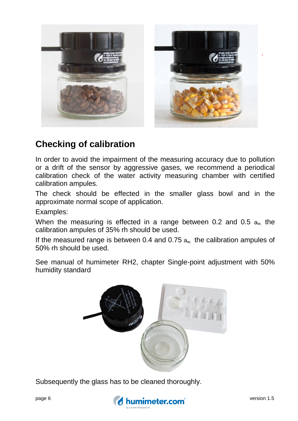

### **Checking of calibration**

In order to avoid the impairment of the measuring accuracy due to pollution or a drift of the sensor by aggressive gases, we recommend a periodical calibration check of the water activity measuring chamber with certified calibration ampules.

The check should be effected in the smaller glass bowl and in the approximate normal scope of application.

Examples:

When the measuring is effected in a range between 0.2 and 0.5  $a_w$  the calibration ampules of 35% rh should be used.

If the measured range is between 0.4 and 0.75  $a_{w}$ , the calibration ampules of 50% rh should be used.

See manual of humimeter RH2, chapter Single-point adjustment with 50% humidity standard



Subsequently the glass has to be cleaned thoroughly.

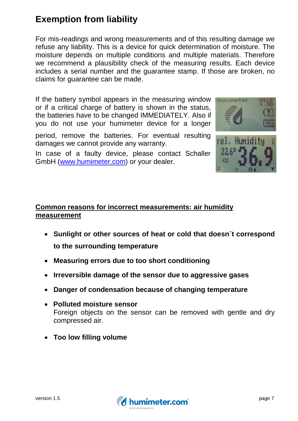# **Exemption from liability**

For mis-readings and wrong measurements and of this resulting damage we refuse any liability. This is a device for quick determination of moisture. The moisture depends on multiple conditions and multiple materials. Therefore we recommend a plausibility check of the measuring results. Each device includes a serial number and the guarantee stamp. If those are broken, no claims for guarantee can be made.

If the battery symbol appears in the measuring window or if a critical charge of battery is shown in the status, the batteries have to be changed IMMEDIATELY. Also if you do not use your humimeter device for a longer

period, remove the batteries. For eventual resulting damages we cannot provide any warranty.

In case of a faulty device, please contact Schaller GmbH [\(www.humimeter.com\)](http://www.humimeter.com/) or your dealer.





#### **Common reasons for incorrect measurements: air humidity measurement**

- **Sunlight or other sources of heat or cold that doesn´t correspond to the surrounding temperature**
- **Measuring errors due to too short conditioning**
- **Irreversible damage of the sensor due to aggressive gases**
- **Danger of condensation because of changing temperature**
- **Polluted moisture sensor** Foreign objects on the sensor can be removed with gentle and dry compressed air.
- **Too low filling volume**